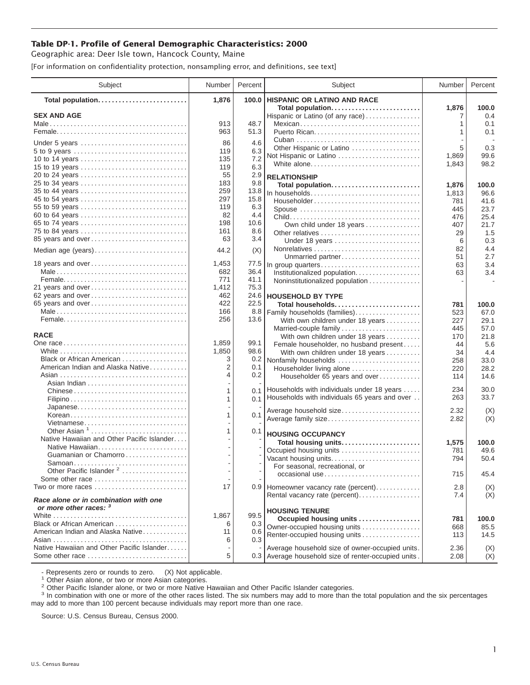## **Table DP-1. Profile of General Demographic Characteristics: 2000**

Geographic area: Deer Isle town, Hancock County, Maine

[For information on confidentiality protection, nonsampling error, and definitions, see text]

| Subject                                                         | Number | Percent | Subject                                              | Number | Percent    |
|-----------------------------------------------------------------|--------|---------|------------------------------------------------------|--------|------------|
| Total population                                                | 1,876  | 100.0   | <b>HISPANIC OR LATINO AND RACE</b>                   |        |            |
|                                                                 |        |         | Total population                                     | 1,876  | 100.0      |
| <b>SEX AND AGE</b>                                              | 913    | 48.7    | Hispanic or Latino (of any race)                     | 1      | 0.4<br>0.1 |
|                                                                 | 963    | 51.3    | Mexican                                              | 1      | 0.1        |
|                                                                 |        |         |                                                      |        |            |
| Under 5 years                                                   | 86     | 4.6     | Other Hispanic or Latino                             | 5      | 0.3        |
|                                                                 | 119    | 6.3     | Not Hispanic or Latino                               | 1,869  | 99.6       |
| 10 to 14 years                                                  | 135    | 7.2     | White alone                                          | 1,843  | 98.2       |
| 15 to 19 years                                                  | 119    | 6.3     |                                                      |        |            |
| 20 to 24 years                                                  | 55     | 2.9     | <b>RELATIONSHIP</b>                                  |        |            |
| 25 to 34 years                                                  | 183    | 9.8     | Total population                                     | 1,876  | 100.0      |
|                                                                 | 259    | 13.8    | In households                                        | 1,813  | 96.6       |
| 45 to 54 years                                                  | 297    | 15.8    | Householder                                          | 781    | 41.6       |
| 55 to 59 years                                                  | 119    | 6.3     | Spouse                                               | 445    | 23.7       |
| 60 to 64 years                                                  | 82     | 4.4     |                                                      | 476    | 25.4       |
| 65 to 74 years                                                  | 198    | 10.6    | Own child under 18 years                             | 407    | 21.7       |
| 75 to 84 years                                                  | 161    | 8.6     | Other relatives                                      | 29     | 1.5        |
| 85 years and over                                               | 63     | 3.4     | Under 18 years                                       | 6      | 0.3        |
| Median age (years)                                              | 44.2   | (X)     |                                                      | 82     | 4.4        |
|                                                                 |        |         | Unmarried partner                                    | 51     | 2.7        |
| 18 years and over                                               | 1,453  | 77.5    | In group quarters                                    | 63     | 3.4        |
|                                                                 | 682    | 36.4    | Institutionalized population                         | 63     | 3.4        |
|                                                                 | 771    | 41.1    | Noninstitutionalized population                      |        |            |
| 21 years and over                                               | 1,412  | 75.3    |                                                      |        |            |
| 62 years and over                                               | 462    |         | 24.6 HOUSEHOLD BY TYPE                               |        |            |
| 65 years and over                                               | 422    | 22.5    | Total households                                     | 781    | 100.0      |
|                                                                 | 166    | 8.8     | Family households (families)                         | 523    | 67.0       |
|                                                                 | 256    | 13.6    | With own children under 18 years                     | 227    | 29.1       |
|                                                                 |        |         | Married-couple family                                | 445    | 57.0       |
| <b>RACE</b>                                                     |        |         | With own children under 18 years                     | 170    | 21.8       |
|                                                                 | 1,859  | 99.1    | Female householder, no husband present               | 44     | 5.6        |
|                                                                 | 1,850  | 98.6    | With own children under 18 years                     | 34     | 4.4        |
| Black or African American                                       | 3      | 0.2     | Nonfamily households                                 | 258    | 33.0       |
| American Indian and Alaska Native                               | 2      | 0.1     | Householder living alone                             | 220    | 28.2       |
|                                                                 | 4      | 0.2     | Householder 65 years and over                        | 114    | 14.6       |
|                                                                 |        |         | Households with individuals under 18 years           | 234    | 30.0       |
| Chinese                                                         |        | 0.1     | Households with individuals 65 years and over        | 263    | 33.7       |
|                                                                 | 1      | 0.1     |                                                      |        |            |
| Japanese                                                        | 1      |         | Average household size                               | 2.32   | (X)        |
| Korean                                                          |        | 0.1     | Average family size                                  | 2.82   | (X)        |
| Vietnamese<br>Other Asian <sup>1</sup>                          | 1      | 0.1     |                                                      |        |            |
| Native Hawaiian and Other Pacific Islander                      |        |         | <b>HOUSING OCCUPANCY</b>                             |        |            |
| Native Hawaiian                                                 |        |         | Total housing units                                  | 1,575  | 100.0      |
| Guamanian or Chamorro                                           |        |         | Occupied housing units                               | 781    | 49.6       |
|                                                                 |        |         | Vacant housing units                                 | 794    | 50.4       |
| Other Pacific Islander <sup>2</sup>                             |        |         | For seasonal, recreational, or                       |        |            |
| Some other race                                                 |        |         | occasional use                                       | 715    | 45.4       |
| Two or more races                                               | 17     |         | 0.9 Homeowner vacancy rate (percent)                 | 2.8    | (X)        |
|                                                                 |        |         | Rental vacancy rate (percent)                        | 7.4    | (X)        |
| Race alone or in combination with one<br>or more other races: 3 |        |         |                                                      |        |            |
|                                                                 | 1,867  | 99.5    | <b>HOUSING TENURE</b>                                |        |            |
| Black or African American                                       | 6      | 0.3     | Occupied housing units                               | 781    | 100.0      |
| American Indian and Alaska Native                               | 11     | 0.6     | Owner-occupied housing units                         | 668    | 85.5       |
|                                                                 | 6      | 0.3     | Renter-occupied housing units                        | 113    | 14.5       |
| Native Hawaiian and Other Pacific Islander                      |        |         | Average household size of owner-occupied units.      | 2.36   | (X)        |
| Some other race                                                 | 5      |         | 0.3 Average household size of renter-occupied units. | 2.08   | (X)        |
|                                                                 |        |         |                                                      |        |            |

- Represents zero or rounds to zero. (X) Not applicable.<br><sup>1</sup> Other Asian alone, or two or more Asian categories.

<sup>2</sup> Other Pacific Islander alone, or two or more Native Hawaiian and Other Pacific Islander categories.<br><sup>3</sup> In combination with one or more of the other races listed. The six numbers may add to more than the total populati may add to more than 100 percent because individuals may report more than one race.

Source: U.S. Census Bureau, Census 2000.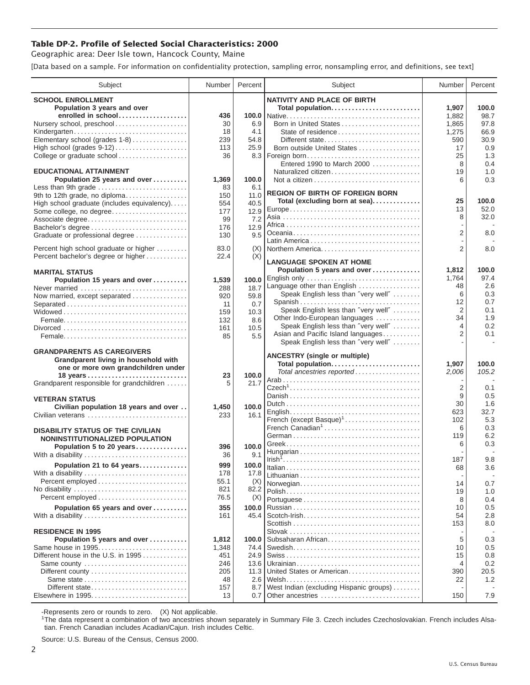## **Table DP-2. Profile of Selected Social Characteristics: 2000**

Geographic area: Deer Isle town, Hancock County, Maine

[Data based on a sample. For information on confidentiality protection, sampling error, nonsampling error, and definitions, see text]

| Subject                                     | Number     | Percent       | Subject                                     | Number         | Percent    |
|---------------------------------------------|------------|---------------|---------------------------------------------|----------------|------------|
| <b>SCHOOL ENROLLMENT</b>                    |            |               | <b>NATIVITY AND PLACE OF BIRTH</b>          |                |            |
| Population 3 years and over                 |            |               | Total population                            | 1,907          | 100.0      |
| enrolled in school                          | 436        |               |                                             | 1,882          | 98.7       |
| Nursery school, preschool                   | 30         | 6.9           | Born in United States                       | 1,865          | 97.8       |
| Kindergarten                                | 18         | 4.1           | State of residence                          | 1,275          | 66.9       |
| Elementary school (grades 1-8)              | 239        | 54.8          | Different state                             | 590            | 30.9       |
| High school (grades 9-12)                   | 113        | 25.9          | Born outside United States                  | 17             | 0.9        |
| College or graduate school                  | 36         | 8.3           | Foreign born                                | 25             | 1.3        |
|                                             |            |               | Entered 1990 to March 2000                  | 8              | 0.4        |
| <b>EDUCATIONAL ATTAINMENT</b>               |            |               | Naturalized citizen                         | 19             | 1.0        |
| Population 25 years and over                | 1,369      | 100.0         |                                             | 6              | 0.3        |
| Less than 9th grade                         | 83         | 6.1           | <b>REGION OF BIRTH OF FOREIGN BORN</b>      |                |            |
| 9th to 12th grade, no diploma               | 150        | 11.0          | Total (excluding born at sea)               | 25             | 100.0      |
| High school graduate (includes equivalency) | 554<br>177 | 40.5<br>12.9  |                                             | 13             | 52.0       |
| Some college, no degree<br>Associate degree | 99         | 7.2           |                                             | 8              | 32.0       |
| Bachelor's degree                           | 176        | 12.9          |                                             |                |            |
| Graduate or professional degree             | 130        | 9.5           |                                             | 2              | 8.0        |
|                                             |            |               |                                             |                |            |
| Percent high school graduate or higher      | 83.0       | (X)           | Northern America                            | $\overline{2}$ | 8.0        |
| Percent bachelor's degree or higher         | 22.4       | (X)           | <b>LANGUAGE SPOKEN AT HOME</b>              |                |            |
|                                             |            |               |                                             | 1,812          | 100.0      |
| <b>MARITAL STATUS</b>                       |            |               | Population 5 years and over<br>English only | 1.764          | 97.4       |
| Population 15 years and over                | 1,539      | 100.0         | Language other than English                 | 48             | 2.6        |
| Never married                               | 288        | 18.7          | Speak English less than "very well"         | 6              | 0.3        |
| Now married, except separated               | 920<br>11  | 59.8          | Spanish                                     | 12             | 0.7        |
| Separated                                   | 159        | 0.7<br>10.3   | Speak English less than "very well"         | 2              | 0.1        |
|                                             | 132        | 8.6           | Other Indo-European languages               | 34             | 1.9        |
|                                             | 161        | 10.5          | Speak English less than "very well"         | 4              | 0.2        |
|                                             | 85         | 5.5           | Asian and Pacific Island languages          | $\overline{2}$ | 0.1        |
|                                             |            |               | Speak English less than "very well"         |                | ÷.         |
| <b>GRANDPARENTS AS CAREGIVERS</b>           |            |               |                                             |                |            |
| Grandparent living in household with        |            |               | <b>ANCESTRY</b> (single or multiple)        |                |            |
| one or more own grandchildren under         |            |               | Total population                            | 1,907          | 100.0      |
|                                             | 23         | 100.0         | Total ancestries reported                   | 2,006          | 105.2      |
| Grandparent responsible for grandchildren   | 5          | 21.7          |                                             | $\overline{2}$ | 0.1        |
|                                             |            |               |                                             | 9              | 0.5        |
| <b>VETERAN STATUS</b>                       |            |               |                                             | 30             | 1.6        |
| Civilian population 18 years and over       | 1,450      | 100.0         |                                             | 623            | 32.7       |
| Civilian veterans                           | 233        | 16.1          | French (except Basque) <sup>1</sup>         | 102            | 5.3        |
| <b>DISABILITY STATUS OF THE CIVILIAN</b>    |            |               | French Canadian <sup>1</sup>                | 6              | 0.3        |
| NONINSTITUTIONALIZED POPULATION             |            |               |                                             | 119            | 6.2        |
| Population 5 to 20 years                    | 396        | 100.0         |                                             | 6              | 0.3        |
| With a disability                           | 36         | 9.1           |                                             |                |            |
| Population 21 to 64 years                   | 999        | 100.0         |                                             | 187            | 9.8        |
|                                             | 178        | 17.8          |                                             | 68             | 3.6        |
| With a disability<br>Percent employed       | 55.1       | (X)           |                                             |                |            |
|                                             | 821        | 82.2          | Norwegian                                   | 14             | 0.7        |
| Percent employed                            | 76.5       | (X)           |                                             | 19             | 1.0        |
|                                             |            |               |                                             | 8              | 0.4        |
| Population 65 years and over                | 355        | 100.0<br>45.4 |                                             | 10<br>54       | 0.5<br>2.8 |
| With a disability                           | 161        |               |                                             | 153            | 8.0        |
| <b>RESIDENCE IN 1995</b>                    |            |               |                                             |                |            |
| Population 5 years and over                 | 1,812      | 100.0         | Subsaharan African                          | 5              | 0.3        |
| Same house in 1995                          | 1,348      | 74.4          |                                             | 10             | 0.5        |
| Different house in the U.S. in 1995         | 451        | 24.9          |                                             | 15             | 0.8        |
| Same county                                 | 246        | 13.6          |                                             | 4              | 0.2        |
|                                             | 205        | 11.3          | United States or American                   | 390            | 20.5       |
|                                             | 48         | 2.6           |                                             | 22             | 1.2        |
| Different state                             | 157        | 8.7           | West Indian (excluding Hispanic groups)     |                |            |
| Elsewhere in 1995                           | 13         | 0.7           | Other ancestries                            | 150            | 7.9        |

-Represents zero or rounds to zero. (X) Not applicable. 1 The data represent a combination of two ancestries shown separately in Summary File 3. Czech includes Czechoslovakian. French includes Alsatian. French Canadian includes Acadian/Cajun. Irish includes Celtic.

Source: U.S. Bureau of the Census, Census 2000.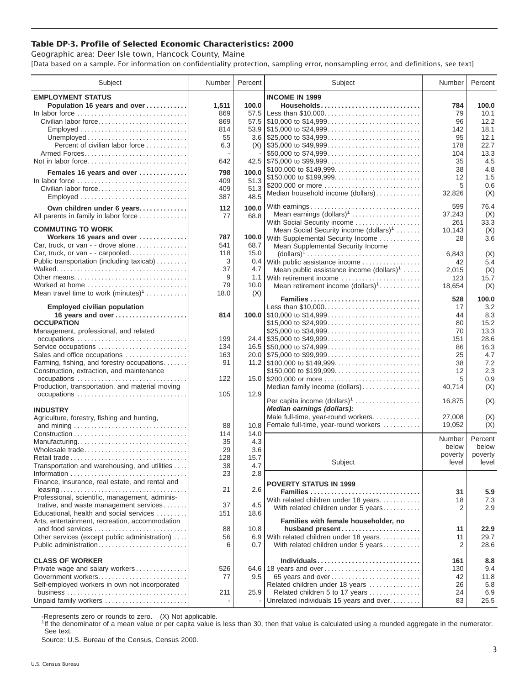## **Table DP-3. Profile of Selected Economic Characteristics: 2000**

Geographic area: Deer Isle town, Hancock County, Maine [Data based on a sample. For information on confidentiality protection, sampling error, nonsampling error, and definitions, see text]

| Subject                                                                       | Number | Percent | Subject                                                                                | Number  | Percent          |
|-------------------------------------------------------------------------------|--------|---------|----------------------------------------------------------------------------------------|---------|------------------|
| <b>EMPLOYMENT STATUS</b>                                                      |        |         | <b>INCOME IN 1999</b>                                                                  |         |                  |
| Population 16 years and over                                                  | 1,511  | 100.0   | Households                                                                             | 784     | 100.0            |
|                                                                               | 869    |         | 57.5 Less than \$10,000                                                                | 79      | 10.1             |
| Civilian labor force                                                          | 869    |         |                                                                                        | 96      | 12.2             |
|                                                                               | 814    |         |                                                                                        | 142     | 18.1             |
| Employed                                                                      |        |         |                                                                                        | 95      | 12.1             |
|                                                                               | 55     |         |                                                                                        |         |                  |
| Percent of civilian labor force                                               | 6.3    |         |                                                                                        | 178     | 22.7             |
|                                                                               |        |         | \$50,000 to \$74,999                                                                   | 104     | 13.3             |
| Not in labor force                                                            | 642    |         |                                                                                        | 35      | 4.5              |
| Females 16 years and over                                                     | 798    | 100.0   | \$100,000 to \$149,999                                                                 | 38      | 4.8              |
| In labor force $\dots\dots\dots\dots\dots\dots\dots\dots\dots\dots\dots\dots$ | 409    | 51.3    | \$150,000 to \$199,999                                                                 | 12      | 1.5              |
| Civilian labor force                                                          | 409    | 51.3    | \$200,000 or more                                                                      | 5       | 0.6              |
| Employed                                                                      | 387    | 48.5    | Median household income (dollars)                                                      | 32,826  | (X)              |
|                                                                               |        |         | With earnings                                                                          | 599     | 76.4             |
| Own children under 6 years                                                    | 112    | 100.0   | Mean earnings (dollars) <sup>1</sup>                                                   | 37,243  |                  |
| All parents in family in labor force                                          | 77     | 68.8    | With Social Security income                                                            |         | (X)<br>33.3      |
| <b>COMMUTING TO WORK</b>                                                      |        |         |                                                                                        | 261     |                  |
| Workers 16 years and over                                                     | 787    |         | Mean Social Security income $(dollars)^1$                                              | 10,143  | (X)<br>3.6       |
| Car, truck, or van - - drove alone                                            | 541    | 68.7    | 100.0 With Supplemental Security Income                                                | 28      |                  |
| Car, truck, or van - - carpooled                                              | 118    | 15.0    | Mean Supplemental Security Income                                                      |         |                  |
| Public transportation (including taxicab)                                     |        |         | $\text{(dollars)}^1 \dots \dots \dots \dots \dots \dots \dots \dots \dots \dots \dots$ | 6,843   | (X)              |
|                                                                               | 3      |         | 0.4 With public assistance income                                                      | 42      | 5.4              |
|                                                                               | 37     | 4.7     | Mean public assistance income $(dollars)1 \ldots$ .                                    | 2,015   | (X)              |
| Other means                                                                   | 9      |         | 1.1 With retirement income                                                             | 123     | 15.7             |
| Worked at home                                                                | 79     | 10.0    | Mean retirement income $(dollars)1$                                                    | 18,654  | (X)              |
| Mean travel time to work $(minutes)^1$                                        | 18.0   | (X)     | Families                                                                               | 528     | 100.0            |
| <b>Employed civilian population</b>                                           |        |         | Less than \$10,000                                                                     | 17      | 3.2              |
| 16 years and over                                                             | 814    |         |                                                                                        | 44      | 8.3              |
| <b>OCCUPATION</b>                                                             |        |         | \$15,000 to \$24,999                                                                   | 80      | 15.2             |
| Management, professional, and related                                         |        |         |                                                                                        | 70      | 13.3             |
|                                                                               | 199    |         |                                                                                        | 151     | 28.6             |
| Service occupations                                                           | 134    |         |                                                                                        | 86      | 16.3             |
| Sales and office occupations                                                  | 163    |         |                                                                                        | 25      | 4.7              |
| Farming, fishing, and forestry occupations                                    | 91     |         |                                                                                        | 38      | 7.2              |
| Construction, extraction, and maintenance                                     |        |         | \$150,000 to \$199,999                                                                 | 12      | 2.3              |
|                                                                               | 122    |         | 15.0 \$200,000 or more                                                                 | 5       | 0.9              |
| Production, transportation, and material moving                               |        |         | Median family income (dollars)                                                         | 40,714  | (X)              |
| occupations                                                                   | 105    | 12.9    |                                                                                        |         |                  |
|                                                                               |        |         | Per capita income $(dollars)1$                                                         | 16,875  | (X)              |
| <b>INDUSTRY</b>                                                               |        |         | Median earnings (dollars):                                                             |         |                  |
| Agriculture, forestry, fishing and hunting,                                   |        |         | Male full-time, year-round workers                                                     | 27,008  | (X)              |
|                                                                               | 88     | 10.8    | Female full-time, year-round workers                                                   | 19,052  | (X)              |
|                                                                               | 114    | 14.0    |                                                                                        |         |                  |
| Manufacturing                                                                 | 35     | 4.3     |                                                                                        | Number  | Percent          |
| Wholesale trade                                                               | 29     | 3.6     |                                                                                        | below   | below            |
| Retail trade                                                                  | 128    | 15.7    |                                                                                        | poverty | poverty<br>level |
| Transportation and warehousing, and utilities                                 | 38     | 4.7     | Subject                                                                                | level   |                  |
|                                                                               | 23     | 2.8     |                                                                                        |         |                  |
| Finance, insurance, real estate, and rental and                               |        |         | <b>POVERTY STATUS IN 1999</b>                                                          |         |                  |
|                                                                               | 21     | 2.6     | Families                                                                               | 31      | 5.9              |
| Professional, scientific, management, adminis-                                |        |         | With related children under 18 years                                                   | 18      | 7.3              |
| trative, and waste management services                                        | 37     | 4.5     | With related children under 5 years                                                    | 2       | 2.9              |
| Educational, health and social services                                       | 151    | 18.6    |                                                                                        |         |                  |
| Arts, entertainment, recreation, accommodation                                |        |         | Families with female householder, no                                                   |         |                  |
| and food services                                                             | 88     | 10.8    | husband present                                                                        | 11      | 22.9             |
| Other services (except public administration)                                 | 56     |         | 6.9 With related children under 18 years                                               | 11      | 29.7             |
| Public administration                                                         | 6      | 0.7     | With related children under 5 years                                                    | 2       | 28.6             |
|                                                                               |        |         |                                                                                        |         |                  |
| <b>CLASS OF WORKER</b>                                                        |        |         | Individuals                                                                            | 161     | 8.8              |
| Private wage and salary workers                                               | 526    |         | 64.6   18 years and over                                                               | 130     | 9.4              |
| Government workers                                                            | 77     | 9.5     | 65 years and over                                                                      | 42      | 11.8             |
| Self-employed workers in own not incorporated                                 |        |         | Related children under 18 years                                                        | 26      | 5.8              |
|                                                                               | 211    | 25.9    | Related children 5 to 17 years                                                         | 24      | 6.9              |
| Unpaid family workers                                                         |        |         | Unrelated individuals 15 years and over                                                | 83      | 25.5             |

-Represents zero or rounds to zero. (X) Not applicable.

<sup>1</sup>If the denominator of a mean value or per capita value is less than 30, then that value is calculated using a rounded aggregate in the numerator. See text.

Source: U.S. Bureau of the Census, Census 2000.